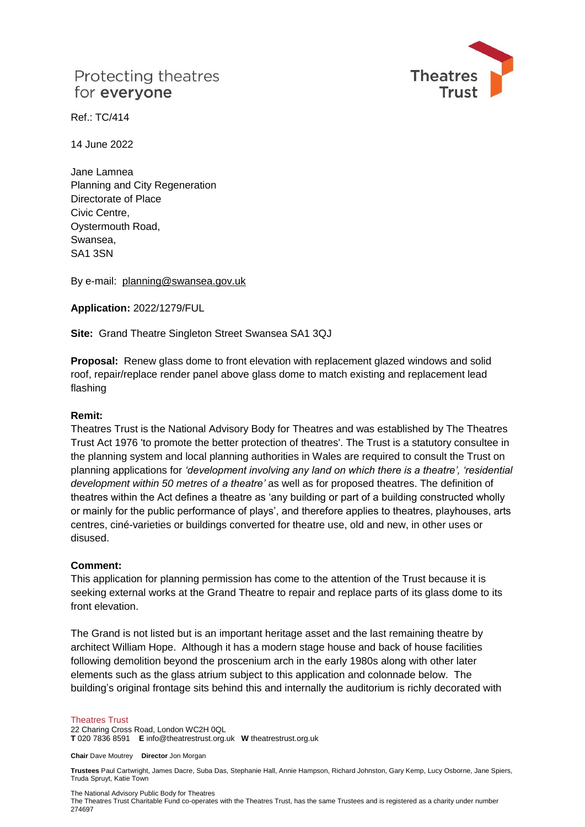# Protecting theatres for everyone



Ref.: TC/414

14 June 2022

Jane Lamnea Planning and City Regeneration Directorate of Place Civic Centre, Oystermouth Road, Swansea, SA1 3SN

By e-mail: planning@swansea.gov.uk

**Application:** 2022/1279/FUL

**Site:** Grand Theatre Singleton Street Swansea SA1 3QJ

**Proposal:** Renew glass dome to front elevation with replacement glazed windows and solid roof, repair/replace render panel above glass dome to match existing and replacement lead flashing

### **Remit:**

Theatres Trust is the National Advisory Body for Theatres and was established by The Theatres Trust Act 1976 'to promote the better protection of theatres'. The Trust is a statutory consultee in the planning system and local planning authorities in Wales are required to consult the Trust on planning applications for *'development involving any land on which there is a theatre', 'residential development within 50 metres of a theatre'* as well as for proposed theatres. The definition of theatres within the Act defines a theatre as 'any building or part of a building constructed wholly or mainly for the public performance of plays', and therefore applies to theatres, playhouses, arts centres, ciné-varieties or buildings converted for theatre use, old and new, in other uses or disused.

### **Comment:**

This application for planning permission has come to the attention of the Trust because it is seeking external works at the Grand Theatre to repair and replace parts of its glass dome to its front elevation.

The Grand is not listed but is an important heritage asset and the last remaining theatre by architect William Hope. Although it has a modern stage house and back of house facilities following demolition beyond the proscenium arch in the early 1980s along with other later elements such as the glass atrium subject to this application and colonnade below. The building's original frontage sits behind this and internally the auditorium is richly decorated with

#### Theatres Trust

22 Charing Cross Road, London WC2H 0QL **T** 020 7836 8591 **E** info@theatrestrust.org.uk **W** theatrestrust.org.uk

**Chair** Dave Moutrey **Director** Jon Morgan

**Trustees** Paul Cartwright, James Dacre, Suba Das, Stephanie Hall, Annie Hampson, Richard Johnston, Gary Kemp, Lucy Osborne, Jane Spiers, Truda Spruyt, Katie Town

The National Advisory Public Body for Theatres

The Theatres Trust Charitable Fund co-operates with the Theatres Trust, has the same Trustees and is registered as a charity under number 274697